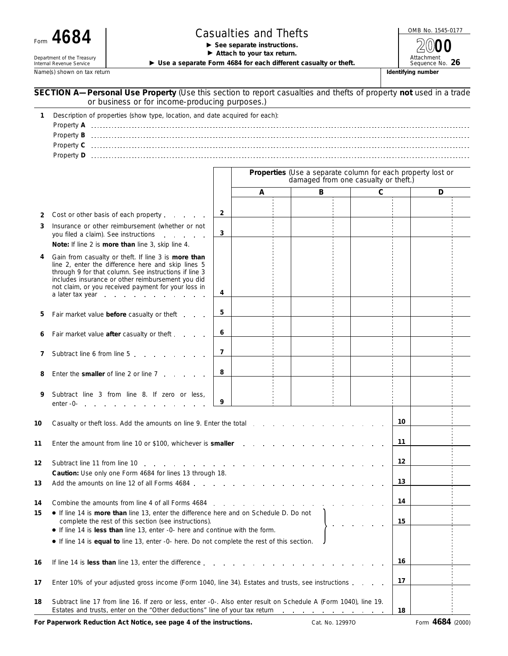Department of the Treasury<br>Internal Revenue Service

## Form  $\bf 4684$   $\begin{array}{|l|}\n \hline\n \end{array}$  **Casualties and Thefts**  $\begin{array}{|l|}\n \hline\n \text{OMB No. 1545-0177}\n \hline\n \end{array}$

Attach to your tax return.

▶ Use a separate Form 4684 for each different casualty or theft.

Name(s) shown on tax return **Identifying number Identifying number Identifying number** 

Attachment **2000**

|    | SECTION A-Personal Use Property (Use this section to report casualties and thefts of property not used in a trade<br>or business or for income-producing purposes.)                                                                                                                                |                |                                                                                                     |   |  |    |    |   |  |  |
|----|----------------------------------------------------------------------------------------------------------------------------------------------------------------------------------------------------------------------------------------------------------------------------------------------------|----------------|-----------------------------------------------------------------------------------------------------|---|--|----|----|---|--|--|
| 1  | Description of properties (show type, location, and date acquired for each):                                                                                                                                                                                                                       |                |                                                                                                     |   |  |    |    |   |  |  |
|    |                                                                                                                                                                                                                                                                                                    |                | Properties (Use a separate column for each property lost or<br>damaged from one casualty or theft.) |   |  |    |    |   |  |  |
|    |                                                                                                                                                                                                                                                                                                    |                | Α                                                                                                   | B |  | C  |    | D |  |  |
| 2  | Cost or other basis of each property                                                                                                                                                                                                                                                               | $\overline{2}$ |                                                                                                     |   |  |    |    |   |  |  |
| 3  | Insurance or other reimbursement (whether or not<br>you filed a claim). See instructions<br>Note: If line 2 is more than line 3, skip line 4.                                                                                                                                                      | 3              |                                                                                                     |   |  |    |    |   |  |  |
| 4  | Gain from casualty or theft. If line 3 is more than<br>line 2, enter the difference here and skip lines 5<br>through 9 for that column. See instructions if line 3<br>includes insurance or other reimbursement you did<br>not claim, or you received payment for your loss in<br>a later tax year | 4              |                                                                                                     |   |  |    |    |   |  |  |
| 5  | Fair market value before casualty or theft                                                                                                                                                                                                                                                         | 5              |                                                                                                     |   |  |    |    |   |  |  |
|    | Fair market value after casualty or theft                                                                                                                                                                                                                                                          | 6              |                                                                                                     |   |  |    |    |   |  |  |
| 7  | Subtract line 6 from line 5                                                                                                                                                                                                                                                                        | 7              |                                                                                                     |   |  |    |    |   |  |  |
| 8  | Enter the smaller of line 2 or line 7                                                                                                                                                                                                                                                              | 8              |                                                                                                     |   |  |    |    |   |  |  |
| 9  | Subtract line 3 from line 8. If zero or less,                                                                                                                                                                                                                                                      | 9              |                                                                                                     |   |  |    |    |   |  |  |
| 10 | Casualty or theft loss. Add the amounts on line 9. Enter the total                                                                                                                                                                                                                                 |                |                                                                                                     |   |  |    | 10 |   |  |  |
| 11 | Enter the amount from line 10 or \$100, whichever is smaller                                                                                                                                                                                                                                       |                |                                                                                                     |   |  |    | 11 |   |  |  |
| 12 | Subtract line 11 from line 10<br>and the contract of the contract of the contract                                                                                                                                                                                                                  |                |                                                                                                     |   |  |    | 12 |   |  |  |
| 13 | Caution: Use only one Form 4684 for lines 13 through 18.<br>Add the amounts on line 12 of all Forms 4684.                                                                                                                                                                                          |                |                                                                                                     |   |  | 13 |    |   |  |  |
| 14 |                                                                                                                                                                                                                                                                                                    |                |                                                                                                     |   |  |    | 14 |   |  |  |
| 15 | • If line 14 is more than line 13, enter the difference here and on Schedule D. Do not<br>complete the rest of this section (see instructions).                                                                                                                                                    |                |                                                                                                     |   |  |    |    |   |  |  |
|    | • If line 14 is less than line 13, enter -0- here and continue with the form.<br>If line 14 is equal to line 13, enter -0- here. Do not complete the rest of this section.                                                                                                                         |                |                                                                                                     |   |  |    |    |   |  |  |
| 16 | If line 14 is less than line 13, enter the difference                                                                                                                                                                                                                                              |                |                                                                                                     |   |  |    | 16 |   |  |  |
| 17 | Enter 10% of your adjusted gross income (Form 1040, line 34). Estates and trusts, see instructions                                                                                                                                                                                                 |                |                                                                                                     |   |  |    | 17 |   |  |  |
| 18 | Subtract line 17 from line 16. If zero or less, enter -0-. Also enter result on Schedule A (Form 1040), line 19.<br>Estates and trusts, enter on the "Other deductions" line of your tax return enter the states and trusts, enter                                                                 |                |                                                                                                     |   |  |    |    |   |  |  |